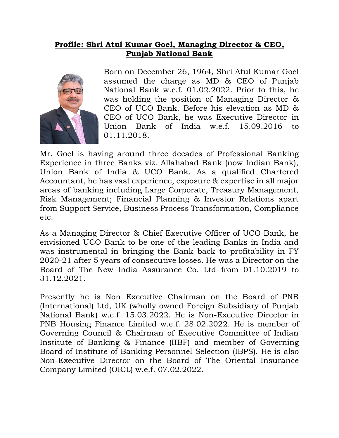## **Profile: Shri Atul Kumar Goel, Managing Director & CEO, Punjab National Bank**



Born on December 26, 1964, Shri Atul Kumar Goel assumed the charge as MD & CEO of Punjab National Bank w.e.f. 01.02.2022. Prior to this, he was holding the position of Managing Director & CEO of UCO Bank. Before his elevation as MD & CEO of UCO Bank, he was Executive Director in Union Bank of India w.e.f. 15.09.2016 to 01.11.2018.

Mr. Goel is having around three decades of Professional Banking Experience in three Banks viz. Allahabad Bank (now Indian Bank), Union Bank of India & UCO Bank. As a qualified Chartered Accountant, he has vast experience, exposure & expertise in all major areas of banking including Large Corporate, Treasury Management, Risk Management; Financial Planning & Investor Relations apart from Support Service, Business Process Transformation, Compliance etc.

As a Managing Director & Chief Executive Officer of UCO Bank, he envisioned UCO Bank to be one of the leading Banks in India and was instrumental in bringing the Bank back to profitability in FY 2020-21 after 5 years of consecutive losses. He was a Director on the Board of The New India Assurance Co. Ltd from 01.10.2019 to 31.12.2021.

Presently he is Non Executive Chairman on the Board of PNB (International) Ltd, UK (wholly owned Foreign Subsidiary of Punjab National Bank) w.e.f. 15.03.2022. He is Non-Executive Director in PNB Housing Finance Limited w.e.f. 28.02.2022. He is member of Governing Council & Chairman of Executive Committee of Indian Institute of Banking & Finance (IIBF) and member of Governing Board of Institute of Banking Personnel Selection (IBPS). He is also Non-Executive Director on the Board of The Oriental Insurance Company Limited (OICL) w.e.f. 07.02.2022.